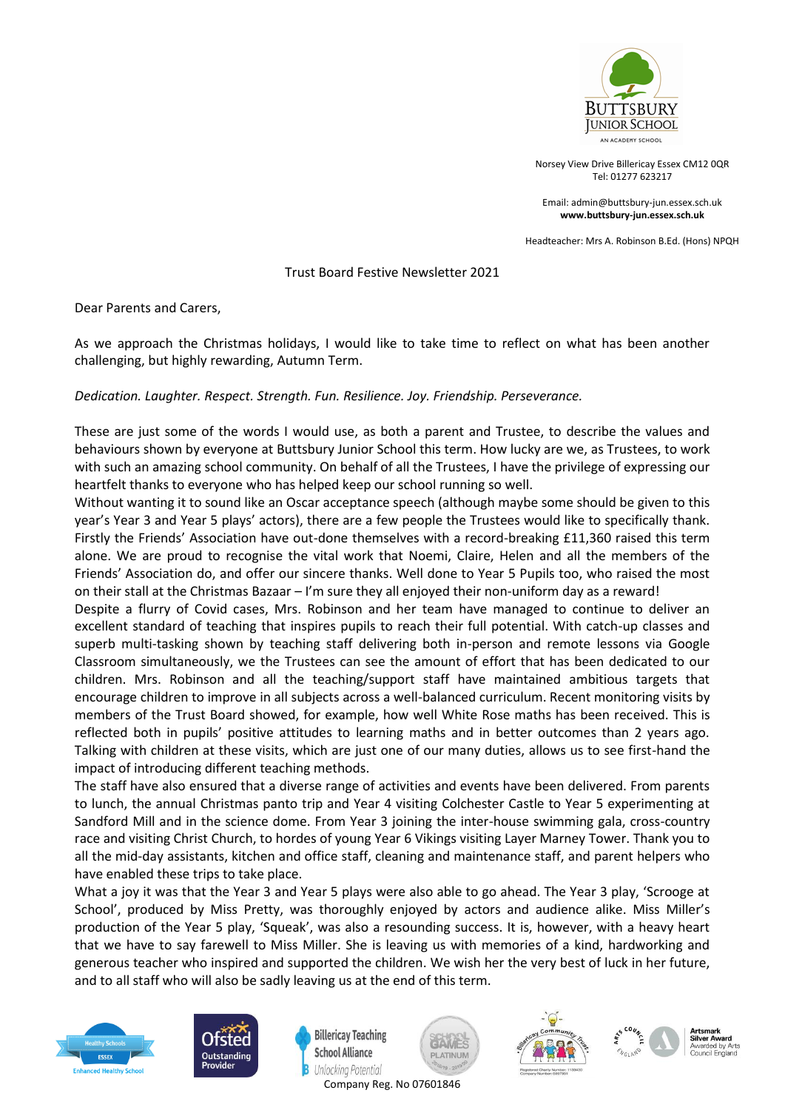

Norsey View Drive Billericay Essex CM12 0QR Tel: 01277 623217

Email[: admin@buttsbury-jun.essex.sch.uk](mailto:admin@buttsbury-jun.essex.sch.uk) **[www.buttsbury-jun.essex.sch.uk](http://www.buttsbury-jun.essex.sch.uk/)**

Headteacher: Mrs A. Robinson B.Ed. (Hons) NPQH

## Trust Board Festive Newsletter 2021

Dear Parents and Carers,

As we approach the Christmas holidays, I would like to take time to reflect on what has been another challenging, but highly rewarding, Autumn Term.

## *Dedication. Laughter. Respect. Strength. Fun. Resilience. Joy. Friendship. Perseverance.*

These are just some of the words I would use, as both a parent and Trustee, to describe the values and behaviours shown by everyone at Buttsbury Junior School this term. How lucky are we, as Trustees, to work with such an amazing school community. On behalf of all the Trustees, I have the privilege of expressing our heartfelt thanks to everyone who has helped keep our school running so well.

Without wanting it to sound like an Oscar acceptance speech (although maybe some should be given to this year's Year 3 and Year 5 plays' actors), there are a few people the Trustees would like to specifically thank. Firstly the Friends' Association have out-done themselves with a record-breaking £11,360 raised this term alone. We are proud to recognise the vital work that Noemi, Claire, Helen and all the members of the Friends' Association do, and offer our sincere thanks. Well done to Year 5 Pupils too, who raised the most on their stall at the Christmas Bazaar – I'm sure they all enjoyed their non-uniform day as a reward!

Despite a flurry of Covid cases, Mrs. Robinson and her team have managed to continue to deliver an excellent standard of teaching that inspires pupils to reach their full potential. With catch-up classes and superb multi-tasking shown by teaching staff delivering both in-person and remote lessons via Google Classroom simultaneously, we the Trustees can see the amount of effort that has been dedicated to our children. Mrs. Robinson and all the teaching/support staff have maintained ambitious targets that encourage children to improve in all subjects across a well-balanced curriculum. Recent monitoring visits by members of the Trust Board showed, for example, how well White Rose maths has been received. This is reflected both in pupils' positive attitudes to learning maths and in better outcomes than 2 years ago. Talking with children at these visits, which are just one of our many duties, allows us to see first-hand the impact of introducing different teaching methods.

The staff have also ensured that a diverse range of activities and events have been delivered. From parents to lunch, the annual Christmas panto trip and Year 4 visiting Colchester Castle to Year 5 experimenting at Sandford Mill and in the science dome. From Year 3 joining the inter-house swimming gala, cross-country race and visiting Christ Church, to hordes of young Year 6 Vikings visiting Layer Marney Tower. Thank you to all the mid-day assistants, kitchen and office staff, cleaning and maintenance staff, and parent helpers who have enabled these trips to take place.

What a joy it was that the Year 3 and Year 5 plays were also able to go ahead. The Year 3 play, 'Scrooge at School', produced by Miss Pretty, was thoroughly enjoyed by actors and audience alike. Miss Miller's production of the Year 5 play, 'Squeak', was also a resounding success. It is, however, with a heavy heart that we have to say farewell to Miss Miller. She is leaving us with memories of a kind, hardworking and generous teacher who inspired and supported the children. We wish her the very best of luck in her future, and to all staff who will also be sadly leaving us at the end of this term.





**Billericay Teaching School Alliance** Unlocking Potential







Artem Cilver Award

Company Reg. No 07601846